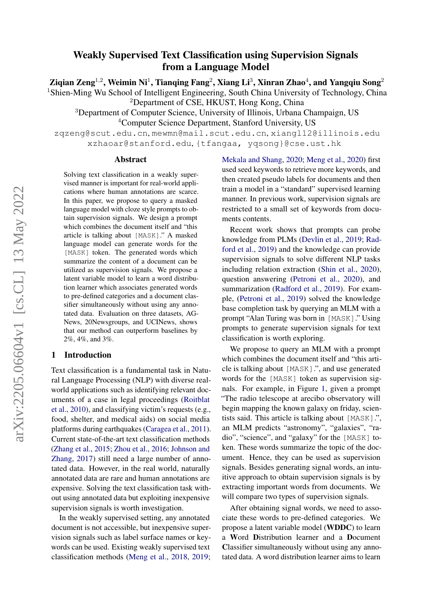# arXiv:2205.06604v1 [cs.CL] 13 May 2022 arXiv:2205.06604v1 [cs.CL] 13 May 2022

# Weakly Supervised Text Classification using Supervision Signals from a Language Model

Ziqian Zeng $^{1,2}$ , Weimin Ni $^1$ , Tianqing Fang $^2$ , Xiang Li $^3$ , Xinran Zhao $^4$ , and Yangqiu Song $^2$ 

<sup>1</sup>Shien-Ming Wu School of Intelligent Engineering, South China University of Technology, China <sup>2</sup>Department of CSE, HKUST, Hong Kong, China

<sup>3</sup>Department of Computer Science, University of Illinois, Urbana Champaign, US <sup>4</sup>Computer Science Department, Stanford University, US

zqzeng@scut.edu.cn, mewmn@mail.scut.edu.cn, xiangl12@illinois.edu xzhaoar@stanford.edu, {tfangaa, yqsong}@cse.ust.hk

### Abstract

Solving text classification in a weakly supervised manner is important for real-world applications where human annotations are scarce. In this paper, we propose to query a masked language model with cloze style prompts to obtain supervision signals. We design a prompt which combines the document itself and "this article is talking about [MASK]." A masked language model can generate words for the [MASK] token. The generated words which summarize the content of a document can be utilized as supervision signals. We propose a latent variable model to learn a word distribution learner which associates generated words to pre-defined categories and a document classifier simultaneously without using any annotated data. Evaluation on three datasets, AG-News, 20Newsgroups, and UCINews, shows that our method can outperform baselines by 2%, 4%, and 3%.

### 1 Introduction

Text classification is a fundamental task in Natural Language Processing (NLP) with diverse realworld applications such as identifying relevant documents of a case in legal proceedings [\(Roitblat](#page-10-0) [et al.,](#page-10-0) [2010\)](#page-10-0), and classifying victim's requests (e.g., food, shelter, and medical aids) on social media platforms during earthquakes [\(Caragea et al.,](#page-9-0) [2011\)](#page-9-0). Current state-of-the-art text classification methods [\(Zhang et al.,](#page-10-1) [2015;](#page-10-1) [Zhou et al.,](#page-10-2) [2016;](#page-10-2) [Johnson and](#page-9-1) [Zhang,](#page-9-1) [2017\)](#page-9-1) still need a large number of annotated data. However, in the real world, naturally annotated data are rare and human annotations are expensive. Solving the text classification task without using annotated data but exploiting inexpensive supervision signals is worth investigation.

In the weakly supervised setting, any annotated document is not accessible, but inexpensive supervision signals such as label surface names or keywords can be used. Existing weakly supervised text classification methods [\(Meng et al.,](#page-9-2) [2018,](#page-9-2) [2019;](#page-9-3)

[Mekala and Shang,](#page-9-4) [2020;](#page-9-4) [Meng et al.,](#page-9-5) [2020\)](#page-9-5) first used seed keywords to retrieve more keywords, and then created pseudo labels for documents and then train a model in a "standard" supervised learning manner. In previous work, supervision signals are restricted to a small set of keywords from documents contents.

Recent work shows that prompts can probe knowledge from PLMs [\(Devlin et al.,](#page-9-6) [2019;](#page-9-6) [Rad](#page-9-7)[ford et al.,](#page-9-7) [2019\)](#page-9-7) and the knowledge can provide supervision signals to solve different NLP tasks including relation extraction [\(Shin et al.,](#page-10-3) [2020\)](#page-10-3), question answering [\(Petroni et al.,](#page-9-8) [2020\)](#page-9-8), and summarization [\(Radford et al.,](#page-9-7) [2019\)](#page-9-7). For example, [\(Petroni et al.,](#page-9-9) [2019\)](#page-9-9) solved the knowledge base completion task by querying an MLM with a prompt "Alan Turing was born in [MASK]." Using prompts to generate supervision signals for text classification is worth exploring.

We propose to query an MLM with a prompt which combines the document itself and "this article is talking about [MASK].", and use generated words for the [MASK] token as supervision signals. For example, in Figure [1,](#page-1-0) given a prompt "The radio telescope at arecibo observatory will begin mapping the known galaxy on friday, scientists said. This article is talking about [MASK].", an MLM predicts "astronomy", "galaxies", "radio", "science", and "galaxy" for the [MASK] token. These words summarize the topic of the document. Hence, they can be used as supervision signals. Besides generating signal words, an intuitive approach to obtain supervision signals is by extracting important words from documents. We will compare two types of supervision signals.

After obtaining signal words, we need to associate these words to pre-defined categories. We propose a latent variable model (WDDC) to learn a Word Distribution learner and a Document Classifier simultaneously without using any annotated data. A word distribution learner aims to learn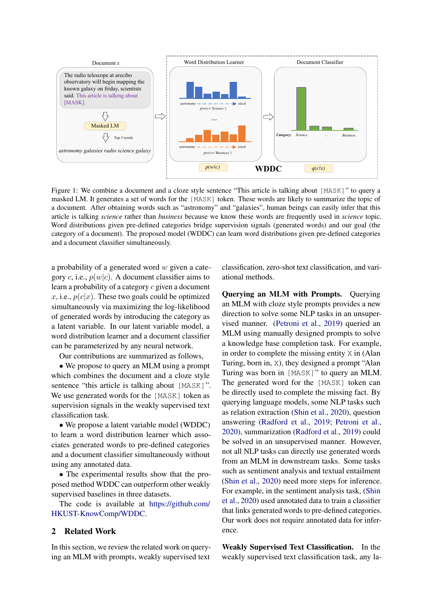<span id="page-1-0"></span>

*scientist heart* article is talking *science* rather than *business* because we know these words are frequently used in *science* topic. Word distributions given pre-defined categories bridge supervision signals (generated words) and our goal (the category of a document). The proposed model (WDDC) can learn word distributions given pre-defined categories Figure 1: We combine a document and a cloze style sentence "This article is talking about [MASK]" to query a masked LM. It generates a set of words for the [MASK] token. These words are likely to summarize the topic of a document. After obtaining words such as "astronomy" and "galaxies", human beings can easily infer that this and a document classifier simultaneously.

a probability of a generated word w given a cate- clas gory c, i.e.,  $p(w|c)$ . A document classifier aims to learn a probability of a category c given a document x, i.e.,  $p(c|x)$ . These two goals could be optimized simultaneously via maximizing the log-likelihood of generated words by introducing the category as a latent variable. In our latent variable model, a word distribution learner and a document classifier can be parameterized by any neural network.

Our contributions are summarized as follows,

• We propose to query an MLM using a prompt which combines the document and a cloze style sentence "this article is talking about [MASK]". We use generated words for the [MASK] token as supervision signals in the weakly supervised text classification task.

• We propose a latent variable model (WDDC) to learn a word distribution learner which associates generated words to pre-defined categories and a document classifier simultaneously without using any annotated data.

• The experimental results show that the proposed method WDDC can outperform other weakly supervised baselines in three datasets.

The code is available at [https://github.com/](https://github.com/HKUST-KnowComp/WDDC) [HKUST-KnowComp/WDDC.](https://github.com/HKUST-KnowComp/WDDC)

### 2 Related Work

In this section, we review the related work on querying an MLM with prompts, weakly supervised text

classification, zero-shot text classification, and variational methods.

Querying an MLM with Prompts. Querying an MLM with cloze style prompts provides a new direction to solve some NLP tasks in an unsupervised manner. [\(Petroni et al.,](#page-9-9) [2019\)](#page-9-9) queried an MLM using manually designed prompts to solve a knowledge base completion task. For example, in order to complete the missing entity X in (Alan Turing, born in, X), they designed a prompt "Alan Turing was born in [MASK]" to query an MLM. The generated word for the [MASK] token can be directly used to complete the missing fact. By querying language models, some NLP tasks such as relation extraction [\(Shin et al.,](#page-10-3) [2020\)](#page-10-3), question answering [\(Radford et al.,](#page-9-7) [2019;](#page-9-7) [Petroni et al.,](#page-9-8) [2020\)](#page-9-8), summarization [\(Radford et al.,](#page-9-7) [2019\)](#page-9-7) could be solved in an unsupervised manner. However, not all NLP tasks can directly use generated words from an MLM in downstream tasks. Some tasks such as sentiment analysis and textual entailment [\(Shin et al.,](#page-10-3) [2020\)](#page-10-3) need more steps for inference. For example, in the sentiment analysis task, [\(Shin](#page-10-3) [et al.,](#page-10-3) [2020\)](#page-10-3) used annotated data to train a classifier that links generated words to pre-defined categories. Our work does not require annotated data for inference.

Weakly Supervised Text Classification. In the weakly supervised text classification task, any la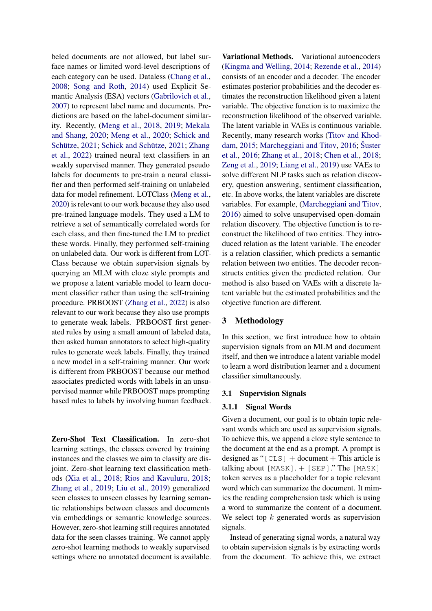beled documents are not allowed, but label surface names or limited word-level descriptions of each category can be used. Dataless [\(Chang et al.,](#page-9-10) [2008;](#page-9-10) [Song and Roth,](#page-10-4) [2014\)](#page-10-4) used Explicit Semantic Analysis (ESA) vectors [\(Gabrilovich et al.,](#page-9-11) [2007\)](#page-9-11) to represent label name and documents. Predictions are based on the label-document similarity. Recently, [\(Meng et al.,](#page-9-2) [2018,](#page-9-2) [2019;](#page-9-3) [Mekala](#page-9-4) [and Shang,](#page-9-4) [2020;](#page-9-4) [Meng et al.,](#page-9-5) [2020;](#page-9-5) [Schick and](#page-10-5) [Schütze,](#page-10-5) [2021;](#page-10-5) [Schick and Schütze,](#page-10-6) [2021;](#page-10-6) [Zhang](#page-10-7) [et al.,](#page-10-7) [2022\)](#page-10-7) trained neural text classifiers in an weakly supervised manner. They generated pseudo labels for documents to pre-train a neural classifier and then performed self-training on unlabeled data for model refinement. LOTClass [\(Meng et al.,](#page-9-5) [2020\)](#page-9-5) is relevant to our work because they also used pre-trained language models. They used a LM to retrieve a set of semantically correlated words for each class, and then fine-tuned the LM to predict these words. Finally, they performed self-training on unlabeled data. Our work is different from LOT-Class because we obtain supervision signals by querying an MLM with cloze style prompts and we propose a latent variable model to learn document classifier rather than using the self-training procedure. PRBOOST [\(Zhang et al.,](#page-10-7) [2022\)](#page-10-7) is also relevant to our work because they also use prompts to generate weak labels. PRBOOST first generated rules by using a small amount of labeled data, then asked human annotators to select high-quality rules to generate week labels. Finally, they trained a new model in a self-training manner. Our work is different from PRBOOST because our method associates predicted words with labels in an unsupervised manner while PRBOOST maps prompting based rules to labels by involving human feedback.

Zero-Shot Text Classification. In zero-shot learning settings, the classes covered by training instances and the classes we aim to classify are disjoint. Zero-shot learning text classification methods [\(Xia et al.,](#page-10-8) [2018;](#page-10-8) [Rios and Kavuluru,](#page-10-9) [2018;](#page-10-9) [Zhang et al.,](#page-10-10) [2019;](#page-10-10) [Liu et al.,](#page-9-12) [2019\)](#page-9-12) generalized seen classes to unseen classes by learning semantic relationships between classes and documents via embeddings or semantic knowledge sources. However, zero-shot learning still requires annotated data for the seen classes training. We cannot apply zero-shot learning methods to weakly supervised settings where no annotated document is available.

Variational Methods. Variational autoencoders [\(Kingma and Welling,](#page-9-13) [2014;](#page-9-13) [Rezende et al.,](#page-10-11) [2014\)](#page-10-11) consists of an encoder and a decoder. The encoder estimates posterior probabilities and the decoder estimates the reconstruction likelihood given a latent variable. The objective function is to maximize the reconstruction likelihood of the observed variable. The latent variable in VAEs is continuous variable. Recently, many research works [\(Titov and Khod](#page-10-12)[dam,](#page-10-12) [2015;](#page-10-12) [Marcheggiani and Titov,](#page-9-14) [2016;](#page-9-14) [Šuster](#page-10-13) [et al.,](#page-10-13) [2016;](#page-10-13) [Zhang et al.,](#page-10-14) [2018;](#page-10-14) [Chen et al.,](#page-9-15) [2018;](#page-9-15) [Zeng et al.,](#page-10-15) [2019;](#page-10-15) [Liang et al.,](#page-9-16) [2019\)](#page-9-16) use VAEs to solve different NLP tasks such as relation discovery, question answering, sentiment classification, etc. In above works, the latent variables are discrete variables. For example, [\(Marcheggiani and Titov,](#page-9-14) [2016\)](#page-9-14) aimed to solve unsupervised open-domain relation discovery. The objective function is to reconstruct the likelihood of two entities. They introduced relation as the latent variable. The encoder is a relation classifier, which predicts a semantic relation between two entities. The decoder reconstructs entities given the predicted relation. Our method is also based on VAEs with a discrete latent variable but the estimated probabilities and the objective function are different.

# 3 Methodology

In this section, we first introduce how to obtain supervision signals from an MLM and document itself, and then we introduce a latent variable model to learn a word distribution learner and a document classifier simultaneously.

### 3.1 Supervision Signals

### 3.1.1 Signal Words

Given a document, our goal is to obtain topic relevant words which are used as supervision signals. To achieve this, we append a cloze style sentence to the document at the end as a prompt. A prompt is designed as " $[CLS]$  + document + This article is talking about  $[MASK]$ .  $+$   $[SEP]$ ." The  $[MASK]$ token serves as a placeholder for a topic relevant word which can summarize the document. It mimics the reading comprehension task which is using a word to summarize the content of a document. We select top  $k$  generated words as supervision signals.

Instead of generating signal words, a natural way to obtain supervision signals is by extracting words from the document. To achieve this, we extract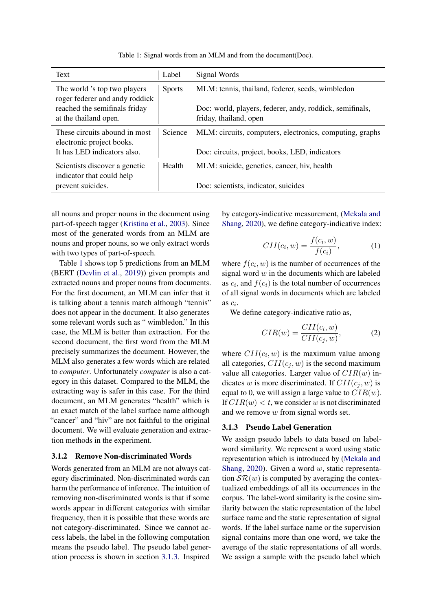Table 1: Signal words from an MLM and from the document(Doc).

<span id="page-3-0"></span>

| Text                                                                                                                     | Label         | Signal Words                                                                                                                           |
|--------------------------------------------------------------------------------------------------------------------------|---------------|----------------------------------------------------------------------------------------------------------------------------------------|
| The world 's top two players<br>roger federer and andy roddick<br>reached the semifinals friday<br>at the thailand open. | <b>Sports</b> | MLM: tennis, thailand, federer, seeds, wimbledon<br>Doc: world, players, federer, andy, roddick, semifinals,<br>friday, thailand, open |
| These circuits abound in most<br>electronic project books.<br>It has LED indicators also.                                | Science       | MLM: circuits, computers, electronics, computing, graphs<br>Doc: circuits, project, books, LED, indicators                             |
| Scientists discover a genetic<br>indicator that could help<br>prevent suicides.                                          | Health        | MLM: suicide, genetics, cancer, hiv, health<br>Doc: scientists, indicator, suicides                                                    |

all nouns and proper nouns in the document using part-of-speech tagger [\(Kristina et al.,](#page-9-17) [2003\)](#page-9-17). Since most of the generated words from an MLM are nouns and proper nouns, so we only extract words with two types of part-of-speech.

Table [1](#page-3-0) shows top 5 predictions from an MLM (BERT [\(Devlin et al.,](#page-9-6) [2019\)](#page-9-6)) given prompts and extracted nouns and proper nouns from documents. For the first document, an MLM can infer that it is talking about a tennis match although "tennis" does not appear in the document. It also generates some relevant words such as " wimbledon." In this case, the MLM is better than extraction. For the second document, the first word from the MLM precisely summarizes the document. However, the MLM also generates a few words which are related to *computer*. Unfortunately *computer* is also a category in this dataset. Compared to the MLM, the extracting way is safer in this case. For the third document, an MLM generates "health" which is an exact match of the label surface name although "cancer" and "hiv" are not faithful to the original document. We will evaluate generation and extraction methods in the experiment.

### 3.1.2 Remove Non-discriminated Words

Words generated from an MLM are not always category discriminated. Non-discriminated words can harm the performance of inference. The intuition of removing non-discriminated words is that if some words appear in different categories with similar frequency, then it is possible that these words are not category-discriminated. Since we cannot access labels, the label in the following computation means the pseudo label. The pseudo label generation process is shown in section [3.1.3.](#page-3-1) Inspired

by category-indicative measurement, [\(Mekala and](#page-9-4) [Shang,](#page-9-4) [2020\)](#page-9-4), we define category-indicative index:

$$
CII(c_i, w) = \frac{f(c_i, w)}{f(c_i)},
$$
\n(1)

where  $f(c_i, w)$  is the number of occurrences of the signal word  $w$  in the documents which are labeled as  $c_i$ , and  $f(c_i)$  is the total number of occurrences of all signal words in documents which are labeled  $\alpha$  as  $c_i$ .

We define category-indicative ratio as,

$$
CIR(w) = \frac{CII(c_i, w)}{CII(c_j, w)},
$$
\n(2)

where  $CII(c_i, w)$  is the maximum value among all categories,  $CII(c_i, w)$  is the second maximum value all categories. Larger value of  $CIR(w)$  indicates w is more discriminated. If  $CII(c_i, w)$  is equal to 0, we will assign a large value to  $CIR(w)$ . If  $CIR(w) < t$ , we consider w is not discriminated and we remove w from signal words set.

### <span id="page-3-1"></span>3.1.3 Pseudo Label Generation

We assign pseudo labels to data based on labelword similarity. We represent a word using static representation which is introduced by [\(Mekala and](#page-9-4) [Shang,](#page-9-4) [2020\)](#page-9-4). Given a word w, static representation  $\mathcal{SR}(w)$  is computed by averaging the contextualized embeddings of all its occurrences in the corpus. The label-word similarity is the cosine similarity between the static representation of the label surface name and the static representation of signal words. If the label surface name or the supervision signal contains more than one word, we take the average of the static representations of all words. We assign a sample with the pseudo label which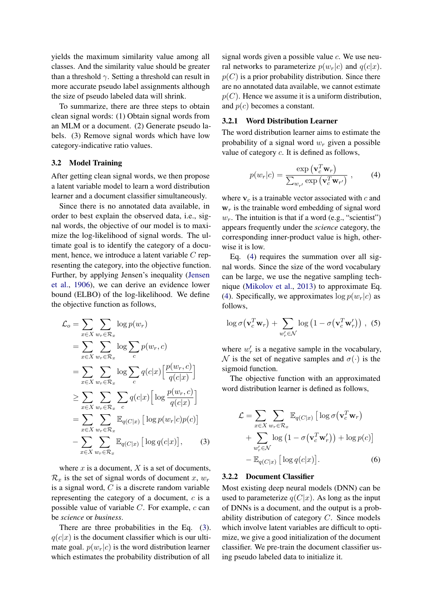yields the maximum similarity value among all classes. And the similarity value should be greater than a threshold  $\gamma$ . Setting a threshold can result in more accurate pseudo label assignments although the size of pseudo labeled data will shrink.

To summarize, there are three steps to obtain clean signal words: (1) Obtain signal words from an MLM or a document. (2) Generate pseudo labels. (3) Remove signal words which have low category-indicative ratio values.

### 3.2 Model Training

After getting clean signal words, we then propose a latent variable model to learn a word distribution learner and a document classifier simultaneously.

Since there is no annotated data available, in order to best explain the observed data, i.e., signal words, the objective of our model is to maximize the log-likelihood of signal words. The ultimate goal is to identify the category of a document, hence, we introduce a latent variable C representing the category, into the objective function. Further, by applying Jensen's inequality [\(Jensen](#page-9-18) [et al.,](#page-9-18) [1906\)](#page-9-18), we can derive an evidence lower bound (ELBO) of the log-likelihood. We define the objective function as follows,

$$
\mathcal{L}_{o} = \sum_{x \in X} \sum_{w_{r} \in \mathcal{R}_{x}} \log p(w_{r})
$$
\n
$$
= \sum_{x \in X} \sum_{w_{r} \in \mathcal{R}_{x}} \log \sum_{c} p(w_{r}, c)
$$
\n
$$
= \sum_{x \in X} \sum_{w_{r} \in \mathcal{R}_{x}} \log \sum_{c} q(c|x) \left[ \frac{p(w_{r}, c)}{q(c|x)} \right]
$$
\n
$$
\geq \sum_{x \in X} \sum_{w_{r} \in \mathcal{R}_{x}} \sum_{c} q(c|x) \left[ \log \frac{p(w_{r}, c)}{q(c|x)} \right]
$$
\n
$$
= \sum_{x \in X} \sum_{w_{r} \in \mathcal{R}_{x}} \mathbb{E}_{q(C|x)} \left[ \log p(w_{r}|c)p(c) \right]
$$
\n
$$
- \sum_{x \in X} \sum_{w_{r} \in \mathcal{R}_{x}} \mathbb{E}_{q(C|x)} \left[ \log q(c|x) \right], \qquad (3)
$$

where  $x$  is a document,  $X$  is a set of documents,  $\mathcal{R}_x$  is the set of signal words of document x,  $w_r$ is a signal word,  $C$  is a discrete random variable representing the category of a document, c is a possible value of variable  $C$ . For example,  $c$  can be *science* or *business*.

There are three probabilities in the Eq.  $(3)$ .  $q(c|x)$  is the document classifier which is our ultimate goal.  $p(w_r|c)$  is the word distribution learner which estimates the probability distribution of all

signal words given a possible value  $c$ . We use neural networks to parameterize  $p(w_r|c)$  and  $q(c|x)$ .  $p(C)$  is a prior probability distribution. Since there are no annotated data available, we cannot estimate  $p(C)$ . Hence we assume it is a uniform distribution, and  $p(c)$  becomes a constant.

### 3.2.1 Word Distribution Learner

The word distribution learner aims to estimate the probability of a signal word  $w_r$  given a possible value of category c. It is defined as follows,

<span id="page-4-1"></span>
$$
p(w_r|c) = \frac{\exp(\mathbf{v}_c^T \mathbf{w}_r)}{\sum_{w_{r'}} \exp(\mathbf{v}_c^T \mathbf{w}_{r'})}, \qquad (4)
$$

where  $v_c$  is a trainable vector associated with  $c$  and  $w_r$  is the trainable word embedding of signal word  $w_r$ . The intuition is that if a word (e.g., "scientist") appears frequently under the *science* category, the corresponding inner-product value is high, otherwise it is low.

Eq. [\(4\)](#page-4-1) requires the summation over all signal words. Since the size of the word vocabulary can be large, we use the negative sampling technique [\(Mikolov et al.,](#page-9-19) [2013\)](#page-9-19) to approximate Eq. [\(4\)](#page-4-1). Specifically, we approximates  $\log p(w_r|c)$  as follows,

$$
\log \sigma \left( \mathbf{v}_c^T \mathbf{w}_r \right) + \sum_{w'_r \in \mathcal{N}} \log \left( 1 - \sigma \left( \mathbf{v}_c^T \mathbf{w}'_r \right) \right) , \tag{5}
$$

where  $w'_r$  is a negative sample in the vocabulary, N is the set of negative samples and  $\sigma(\cdot)$  is the sigmoid function.

The objective function with an approximated word distribution learner is defined as follows,

<span id="page-4-0"></span>
$$
\mathcal{L} = \sum_{x \in X} \sum_{w_r \in \mathcal{R}_x} \mathbb{E}_{q(C|x)} \left[ \log \sigma \left( \mathbf{v}_c^T \mathbf{w}_r \right) + \sum_{w'_r \in \mathcal{N}} \log \left( 1 - \sigma \left( \mathbf{v}_c^T \mathbf{w}'_r \right) \right) + \log p(c) \right] - \mathbb{E}_{q(C|x)} \left[ \log q(c|x) \right].
$$
 (6)

# 3.2.2 Document Classifier

Most existing deep neural models (DNN) can be used to parameterize  $q(C|x)$ . As long as the input of DNNs is a document, and the output is a probability distribution of category C. Since models which involve latent variables are difficult to optimize, we give a good initialization of the document classifier. We pre-train the document classifier using pseudo labeled data to initialize it.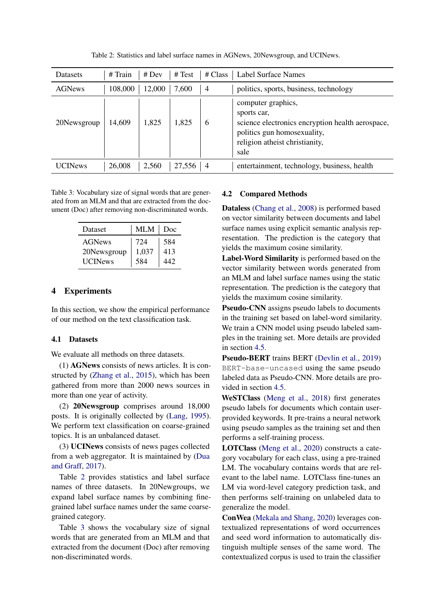<span id="page-5-0"></span>

| <b>Datasets</b> | $#$ Train | # Dev  | # Test | # Class        | Label Surface Names                                                                                                                                            |
|-----------------|-----------|--------|--------|----------------|----------------------------------------------------------------------------------------------------------------------------------------------------------------|
| <b>AGNews</b>   | 108,000   | 12,000 | 7,600  | $\overline{4}$ | politics, sports, business, technology                                                                                                                         |
| 20Newsgroup     | 14,609    | 1,825  | 1,825  | 6              | computer graphics,<br>sports car,<br>science electronics encryption health aerospace,<br>politics gun homosexuality,<br>religion atheist christianity,<br>sale |
| <b>UCINews</b>  | 26,008    | 2,560  | 27,556 | $\overline{4}$ | entertainment, technology, business, health                                                                                                                    |

Table 2: Statistics and label surface names in AGNews, 20Newsgroup, and UCINews.

<span id="page-5-1"></span>Table 3: Vocabulary size of signal words that are generated from an MLM and that are extracted from the document (Doc) after removing non-discriminated words.

| Dataset        | MLM   | Doc |
|----------------|-------|-----|
| <b>AGNews</b>  | 724   | 584 |
| 20Newsgroup    | 1,037 | 413 |
| <b>UCINews</b> | 584   | 442 |

### 4 Experiments

In this section, we show the empirical performance of our method on the text classification task.

### 4.1 Datasets

We evaluate all methods on three datasets.

(1) AGNews consists of news articles. It is constructed by [\(Zhang et al.,](#page-10-1) [2015\)](#page-10-1), which has been gathered from more than 2000 news sources in more than one year of activity.

(2) 20Newsgroup comprises around 18,000 posts. It is originally collected by [\(Lang,](#page-9-20) [1995\)](#page-9-20). We perform text classification on coarse-grained topics. It is an unbalanced dataset.

(3) UCINews consists of news pages collected from a web aggregator. It is maintained by [\(Dua](#page-9-21) [and Graff,](#page-9-21) [2017\)](#page-9-21).

Table [2](#page-5-0) provides statistics and label surface names of three datasets. In 20Newgroups, we expand label surface names by combining finegrained label surface names under the same coarsegrained category.

Table [3](#page-5-1) shows the vocabulary size of signal words that are generated from an MLM and that extracted from the document (Doc) after removing non-discriminated words.

### 4.2 Compared Methods

Dataless [\(Chang et al.,](#page-9-10) [2008\)](#page-9-10) is performed based on vector similarity between documents and label surface names using explicit semantic analysis representation. The prediction is the category that yields the maximum cosine similarity.

Label-Word Similarity is performed based on the vector similarity between words generated from an MLM and label surface names using the static representation. The prediction is the category that yields the maximum cosine similarity.

Pseudo-CNN assigns pseudo labels to documents in the training set based on label-word similarity. We train a CNN model using pseudo labeled samples in the training set. More details are provided in section [4.5.](#page-8-0)

Pseudo-BERT trains BERT [\(Devlin et al.,](#page-9-6) [2019\)](#page-9-6) BERT-base-uncased using the same pseudo labeled data as Pseudo-CNN. More details are provided in section [4.5.](#page-8-0)

WeSTClass [\(Meng et al.,](#page-9-2) [2018\)](#page-9-2) first generates pseudo labels for documents which contain userprovided keywords. It pre-trains a neural network using pseudo samples as the training set and then performs a self-training process.

LOTClass [\(Meng et al.,](#page-9-5) [2020\)](#page-9-5) constructs a category vocabulary for each class, using a pre-trained LM. The vocabulary contains words that are relevant to the label name. LOTClass fine-tunes an LM via word-level category prediction task, and then performs self-training on unlabeled data to generalize the model.

ConWea [\(Mekala and Shang,](#page-9-4) [2020\)](#page-9-4) leverages contextualized representations of word occurrences and seed word information to automatically distinguish multiple senses of the same word. The contextualized corpus is used to train the classifier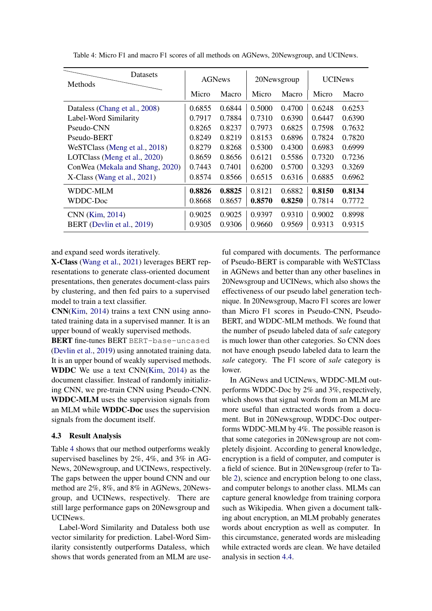| Datasets<br><b>Methods</b>      | <b>AGNews</b> |        | 20Newsgroup |        | <b>UCINews</b> |        |
|---------------------------------|---------------|--------|-------------|--------|----------------|--------|
|                                 | Micro         | Macro  | Micro       | Macro  | Micro          | Macro  |
| Dataless (Chang et al., 2008)   | 0.6855        | 0.6844 | 0.5000      | 0.4700 | 0.6248         | 0.6253 |
| Label-Word Similarity           | 0.7917        | 0.7884 | 0.7310      | 0.6390 | 0.6447         | 0.6390 |
| Pseudo-CNN                      | 0.8265        | 0.8237 | 0.7973      | 0.6825 | 0.7598         | 0.7632 |
| Pseudo-BERT                     | 0.8249        | 0.8219 | 0.8153      | 0.6896 | 0.7824         | 0.7820 |
| WeSTClass (Meng et al., 2018)   | 0.8279        | 0.8268 | 0.5300      | 0.4300 | 0.6983         | 0.6999 |
| LOTClass (Meng et al., 2020)    | 0.8659        | 0.8656 | 0.6121      | 0.5586 | 0.7320         | 0.7236 |
| ConWea (Mekala and Shang, 2020) | 0.7443        | 0.7401 | 0.6200      | 0.5700 | 0.3293         | 0.3269 |
| X-Class (Wang et al., 2021)     | 0.8574        | 0.8566 | 0.6515      | 0.6316 | 0.6885         | 0.6962 |
| WDDC-MLM                        | 0.8826        | 0.8825 | 0.8121      | 0.6882 | 0.8150         | 0.8134 |
| <b>WDDC-Doc</b>                 | 0.8668        | 0.8657 | 0.8570      | 0.8250 | 0.7814         | 0.7772 |
| CNN (Kim, 2014)                 | 0.9025        | 0.9025 | 0.9397      | 0.9310 | 0.9002         | 0.8998 |
| BERT (Devlin et al., 2019)      | 0.9305        | 0.9306 | 0.9660      | 0.9569 | 0.9313         | 0.9315 |

<span id="page-6-0"></span>Table 4: Micro F1 and macro F1 scores of all methods on AGNews, 20Newsgroup, and UCINews.

and expand seed words iteratively.

X-Class [\(Wang et al.,](#page-10-16) [2021\)](#page-10-16) leverages BERT representations to generate class-oriented document presentations, then generates document-class pairs by clustering, and then fed pairs to a supervised model to train a text classifier.

CNN[\(Kim,](#page-9-22) [2014\)](#page-9-22) trains a text CNN using annotated training data in a supervised manner. It is an upper bound of weakly supervised methods.

BERT fine-tunes BERT BERT-base-uncased [\(Devlin et al.,](#page-9-6) [2019\)](#page-9-6) using annotated training data. It is an upper bound of weakly supervised methods. WDDC We use a text CNN[\(Kim,](#page-9-22) [2014\)](#page-9-22) as the document classifier. Instead of randomly initializing CNN, we pre-train CNN using Pseudo-CNN. WDDC-MLM uses the supervision signals from an MLM while WDDC-Doc uses the supervision signals from the document itself.

### 4.3 Result Analysis

Table [4](#page-6-0) shows that our method outperforms weakly supervised baselines by 2%, 4%, and 3% in AG-News, 20Newsgroup, and UCINews, respectively. The gaps between the upper bound CNN and our method are 2%, 8%, and 8% in AGNews, 20Newsgroup, and UCINews, respectively. There are still large performance gaps on 20Newsgroup and UCINews.

Label-Word Similarity and Dataless both use vector similarity for prediction. Label-Word Similarity consistently outperforms Dataless, which shows that words generated from an MLM are useful compared with documents. The performance of Pseudo-BERT is comparable with WeSTClass in AGNews and better than any other baselines in 20Newsgroup and UCINews, which also shows the effectiveness of our pseudo label generation technique. In 20Newsgroup, Macro F1 scores are lower than Micro F1 scores in Pseudo-CNN, Pseudo-BERT, and WDDC-MLM methods. We found that the number of pseudo labeled data of *sale* category is much lower than other categories. So CNN does not have enough pseudo labeled data to learn the *sale* category. The F1 score of *sale* category is lower.

In AGNews and UCINews, WDDC-MLM outperforms WDDC-Doc by 2% and 3%, respectively, which shows that signal words from an MLM are more useful than extracted words from a document. But in 20Newsgroup, WDDC-Doc outperforms WDDC-MLM by 4%. The possible reason is that some categories in 20Newsgroup are not completely disjoint. According to general knowledge, encryption is a field of computer, and computer is a field of science. But in 20Newsgroup (refer to Table [2\)](#page-5-0), science and encryption belong to one class, and computer belongs to another class. MLMs can capture general knowledge from training corpora such as Wikipedia. When given a document talking about encryption, an MLM probably generates words about encryption as well as computer. In this circumstance, generated words are misleading while extracted words are clean. We have detailed analysis in section [4.4.](#page-7-0)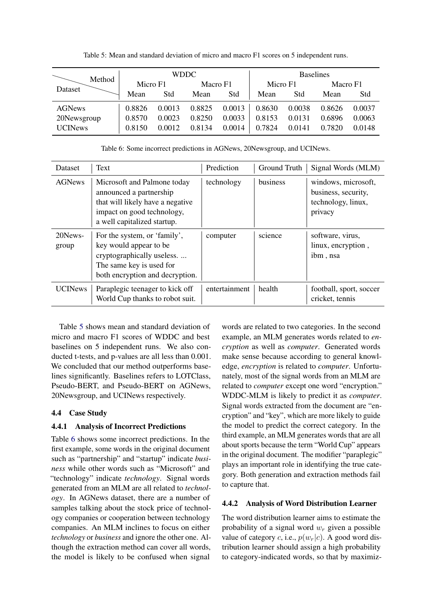Table 5: Mean and standard deviation of micro and macro F1 scores on 5 independent runs.

<span id="page-7-1"></span>

| Method<br>Dataset |          | <b>WDDC</b> |          |        | <b>Baselines</b> |        |          |        |
|-------------------|----------|-------------|----------|--------|------------------|--------|----------|--------|
|                   | Micro F1 |             | Macro F1 |        | Micro F1         |        | Macro F1 |        |
|                   | Mean     | Std         | Mean     | Std    | Mean             | Std    | Mean     | Std    |
| <b>AGNews</b>     | 0.8826   | 0.0013      | 0.8825   | 0.0013 | 0.8630           | 0.0038 | 0.8626   | 0.0037 |
| 20Newsgroup       | 0.8570   | 0.0023      | 0.8250   | 0.0033 | 0.8153           | 0.0131 | 0.6896   | 0.0063 |
| <b>UCINews</b>    | 0.8150   | 0.0012      | 0.8134   | 0.0014 | 0.7824           | 0.0141 | 0.7820   | 0.0148 |

Table 6: Some incorrect predictions in AGNews, 20Newsgroup, and UCINews.

<span id="page-7-2"></span>

| Dataset          | Text                                                                                                                                                    | Prediction    | Ground Truth | Signal Words (MLM)                                                          |
|------------------|---------------------------------------------------------------------------------------------------------------------------------------------------------|---------------|--------------|-----------------------------------------------------------------------------|
| <b>AGNews</b>    | Microsoft and Palmone today<br>announced a partnership<br>that will likely have a negative<br>impact on good technology,<br>a well capitalized startup. | technology    | business     | windows, microsoft,<br>business, security,<br>technology, linux,<br>privacy |
| 20News-<br>group | For the system, or 'family',<br>key would appear to be<br>cryptographically useless<br>The same key is used for<br>both encryption and decryption.      | computer      | science      | software, virus,<br>linux, encryption,<br>ibm, nsa                          |
| <b>UCINews</b>   | Paraplegic teenager to kick off<br>World Cup thanks to robot suit.                                                                                      | entertainment | health       | football, sport, soccer<br>cricket, tennis                                  |

Table [5](#page-7-1) shows mean and standard deviation of micro and macro F1 scores of WDDC and best baselines on 5 independent runs. We also conducted t-tests, and p-values are all less than 0.001. We concluded that our method outperforms baselines significantly. Baselines refers to LOTClass, Pseudo-BERT, and Pseudo-BERT on AGNews, 20Newsgroup, and UCINews respectively.

# <span id="page-7-0"></span>4.4 Case Study

# 4.4.1 Analysis of Incorrect Predictions

Table [6](#page-7-2) shows some incorrect predictions. In the first example, some words in the original document such as "partnership" and "startup" indicate *business* while other words such as "Microsoft" and "technology" indicate *technology*. Signal words generated from an MLM are all related to *technology*. In AGNews dataset, there are a number of samples talking about the stock price of technology companies or cooperation between technology companies. An MLM inclines to focus on either *technology* or *business* and ignore the other one. Although the extraction method can cover all words, the model is likely to be confused when signal

words are related to two categories. In the second example, an MLM generates words related to *encryption* as well as *computer*. Generated words make sense because according to general knowledge, *encryption* is related to *computer*. Unfortunately, most of the signal words from an MLM are related to *computer* except one word "encryption." WDDC-MLM is likely to predict it as *computer*. Signal words extracted from the document are "encryption" and "key", which are more likely to guide the model to predict the correct category. In the third example, an MLM generates words that are all about sports because the term "World Cup" appears in the original document. The modifier "paraplegic" plays an important role in identifying the true category. Both generation and extraction methods fail to capture that.

# 4.4.2 Analysis of Word Distribution Learner

The word distribution learner aims to estimate the probability of a signal word  $w_r$  given a possible value of category c, i.e.,  $p(w_r|c)$ . A good word distribution learner should assign a high probability to category-indicated words, so that by maximiz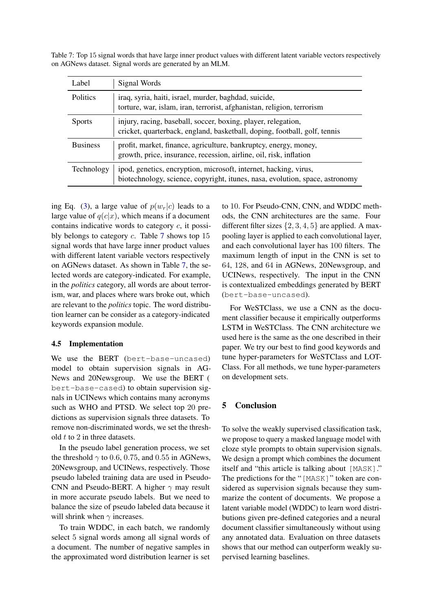<span id="page-8-1"></span>Table 7: Top 15 signal words that have large inner product values with different latent variable vectors respectively on AGNews dataset. Signal words are generated by an MLM.

| Label           | Signal Words                                                                                                                                     |
|-----------------|--------------------------------------------------------------------------------------------------------------------------------------------------|
| Politics        | iraq, syria, haiti, israel, murder, baghdad, suicide,<br>torture, war, islam, iran, terrorist, afghanistan, religion, terrorism                  |
| <b>Sports</b>   | injury, racing, baseball, soccer, boxing, player, relegation,<br>cricket, quarterback, england, basketball, doping, football, golf, tennis       |
| <b>Business</b> | profit, market, finance, agriculture, bankruptcy, energy, money,<br>growth, price, insurance, recession, airline, oil, risk, inflation           |
| Technology      | ipod, genetics, encryption, microsoft, internet, hacking, virus,<br>biotechnology, science, copyright, itunes, nasa, evolution, space, astronomy |

ing Eq. [\(3\)](#page-4-0), a large value of  $p(w_r|c)$  leads to a large value of  $q(c|x)$ , which means if a document contains indicative words to category  $c$ , it possibly belongs to category c. Table [7](#page-8-1) shows top 15 signal words that have large inner product values with different latent variable vectors respectively on AGNews dataset. As shown in Table [7,](#page-8-1) the selected words are category-indicated. For example, in the *politics* category, all words are about terrorism, war, and places where wars broke out, which are relevant to the *politics* topic. The word distribution learner can be consider as a category-indicated keywords expansion module.

### <span id="page-8-0"></span>4.5 Implementation

We use the BERT (bert-base-uncased) model to obtain supervision signals in AG-News and 20Newsgroup. We use the BERT ( bert-base-cased) to obtain supervision signals in UCINews which contains many acronyms such as WHO and PTSD. We select top 20 predictions as supervision signals three datasets. To remove non-discriminated words, we set the threshold t to 2 in three datasets.

In the pseudo label generation process, we set the threshold  $\gamma$  to 0.6, 0.75, and 0.55 in AGNews, 20Newsgroup, and UCINews, respectively. Those pseudo labeled training data are used in Pseudo-CNN and Pseudo-BERT. A higher  $\gamma$  may result in more accurate pseudo labels. But we need to balance the size of pseudo labeled data because it will shrink when  $\gamma$  increases.

To train WDDC, in each batch, we randomly select 5 signal words among all signal words of a document. The number of negative samples in the approximated word distribution learner is set to 10. For Pseudo-CNN, CNN, and WDDC methods, the CNN architectures are the same. Four different filter sizes  $\{2, 3, 4, 5\}$  are applied. A maxpooling layer is applied to each convolutional layer, and each convolutional layer has 100 filters. The maximum length of input in the CNN is set to 64, 128, and 64 in AGNews, 20Newsgroup, and UCINews, respectively. The input in the CNN is contextualized embeddings generated by BERT (bert-base-uncased).

For WeSTClass, we use a CNN as the document classifier because it empirically outperforms LSTM in WeSTClass. The CNN architecture we used here is the same as the one described in their paper. We try our best to find good keywords and tune hyper-parameters for WeSTClass and LOT-Class. For all methods, we tune hyper-parameters on development sets.

# 5 Conclusion

To solve the weakly supervised classification task, we propose to query a masked language model with cloze style prompts to obtain supervision signals. We design a prompt which combines the document itself and "this article is talking about [MASK]." The predictions for the "[MASK]" token are considered as supervision signals because they summarize the content of documents. We propose a latent variable model (WDDC) to learn word distributions given pre-defined categories and a neural document classifier simultaneously without using any annotated data. Evaluation on three datasets shows that our method can outperform weakly supervised learning baselines.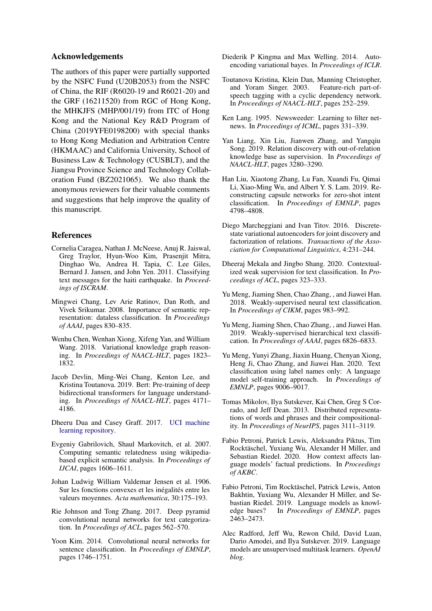### Acknowledgements

The authors of this paper were partially supported by the NSFC Fund (U20B2053) from the NSFC of China, the RIF (R6020-19 and R6021-20) and the GRF (16211520) from RGC of Hong Kong, the MHKJFS (MHP/001/19) from ITC of Hong Kong and the National Key R&D Program of China (2019YFE0198200) with special thanks to Hong Kong Mediation and Arbitration Centre (HKMAAC) and California University, School of Business Law & Technology (CUSBLT), and the Jiangsu Province Science and Technology Collaboration Fund (BZ2021065). We also thank the anonymous reviewers for their valuable comments and suggestions that help improve the quality of this manuscript.

### References

- <span id="page-9-0"></span>Cornelia Caragea, Nathan J. McNeese, Anuj R. Jaiswal, Greg Traylor, Hyun-Woo Kim, Prasenjit Mitra, Dinghao Wu, Andrea H. Tapia, C. Lee Giles, Bernard J. Jansen, and John Yen. 2011. Classifying text messages for the haiti earthquake. In *Proceedings of ISCRAM*.
- <span id="page-9-10"></span>Mingwei Chang, Lev Arie Ratinov, Dan Roth, and Vivek Srikumar. 2008. Importance of semantic representation: dataless classification. In *Proceedings of AAAI*, pages 830–835.
- <span id="page-9-15"></span>Wenhu Chen, Wenhan Xiong, Xifeng Yan, and William Wang. 2018. Variational knowledge graph reasoning. In *Proceedings of NAACL-HLT*, pages 1823– 1832.
- <span id="page-9-6"></span>Jacob Devlin, Ming-Wei Chang, Kenton Lee, and Kristina Toutanova. 2019. Bert: Pre-training of deep bidirectional transformers for language understanding. In *Proceedings of NAACL-HLT*, pages 4171– 4186.
- <span id="page-9-21"></span>Dheeru Dua and Casey Graff. 2017. [UCI machine](http://archive.ics.uci.edu/ml) [learning repository.](http://archive.ics.uci.edu/ml)
- <span id="page-9-11"></span>Evgeniy Gabrilovich, Shaul Markovitch, et al. 2007. Computing semantic relatedness using wikipediabased explicit semantic analysis. In *Proceedings of IJCAI*, pages 1606–1611.
- <span id="page-9-18"></span>Johan Ludwig William Valdemar Jensen et al. 1906. Sur les fonctions convexes et les inégalités entre les valeurs moyennes. *Acta mathematica*, 30:175–193.
- <span id="page-9-1"></span>Rie Johnson and Tong Zhang. 2017. Deep pyramid convolutional neural networks for text categorization. In *Proceedings of ACL*, pages 562–570.
- <span id="page-9-22"></span>Yoon Kim. 2014. Convolutional neural networks for sentence classification. In *Proceedings of EMNLP*, pages 1746–1751.
- <span id="page-9-13"></span>Diederik P Kingma and Max Welling. 2014. Autoencoding variational bayes. In *Proceedings of ICLR*.
- <span id="page-9-17"></span>Toutanova Kristina, Klein Dan, Manning Christopher, and Yoram Singer. 2003. Feature-rich part-ofspeech tagging with a cyclic dependency network. In *Proceedings of NAACL-HLT*, pages 252–259.
- <span id="page-9-20"></span>Ken Lang. 1995. Newsweeder: Learning to filter netnews. In *Proceedings of ICML*, pages 331–339.
- <span id="page-9-16"></span>Yan Liang, Xin Liu, Jianwen Zhang, and Yangqiu Song. 2019. Relation discovery with out-of-relation knowledge base as supervision. In *Proceedings of NAACL-HLT*, pages 3280–3290.
- <span id="page-9-12"></span>Han Liu, Xiaotong Zhang, Lu Fan, Xuandi Fu, Qimai Li, Xiao-Ming Wu, and Albert Y. S. Lam. 2019. Reconstructing capsule networks for zero-shot intent classification. In *Proceedings of EMNLP*, pages 4798–4808.
- <span id="page-9-14"></span>Diego Marcheggiani and Ivan Titov. 2016. Discretestate variational autoencoders for joint discovery and factorization of relations. *Transactions of the Association for Computational Linguistics*, 4:231–244.
- <span id="page-9-4"></span>Dheeraj Mekala and Jingbo Shang. 2020. Contextualized weak supervision for text classification. In *Proceedings of ACL*, pages 323–333.
- <span id="page-9-2"></span>Yu Meng, Jiaming Shen, Chao Zhang, , and Jiawei Han. 2018. Weakly-supervised neural text classification. In *Proceedings of CIKM*, pages 983–992.
- <span id="page-9-3"></span>Yu Meng, Jiaming Shen, Chao Zhang, , and Jiawei Han. 2019. Weakly-supervised hierarchical text classification. In *Proceedings of AAAI*, pages 6826–6833.
- <span id="page-9-5"></span>Yu Meng, Yunyi Zhang, Jiaxin Huang, Chenyan Xiong, Heng Ji, Chao Zhang, and Jiawei Han. 2020. Text classification using label names only: A language model self-training approach. In *Proceedings of EMNLP*, pages 9006–9017.
- <span id="page-9-19"></span>Tomas Mikolov, Ilya Sutskever, Kai Chen, Greg S Corrado, and Jeff Dean. 2013. Distributed representations of words and phrases and their compositionality. In *Proceedings of NeurIPS*, pages 3111–3119.
- <span id="page-9-8"></span>Fabio Petroni, Patrick Lewis, Aleksandra Piktus, Tim Rocktäschel, Yuxiang Wu, Alexander H Miller, and Sebastian Riedel. 2020. How context affects language models' factual predictions. In *Proceedings of AKBC*.
- <span id="page-9-9"></span>Fabio Petroni, Tim Rocktäschel, Patrick Lewis, Anton Bakhtin, Yuxiang Wu, Alexander H Miller, and Sebastian Riedel. 2019. Language models as knowledge bases? In *Proceedings of EMNLP*, pages 2463–2473.
- <span id="page-9-7"></span>Alec Radford, Jeff Wu, Rewon Child, David Luan, Dario Amodei, and Ilya Sutskever. 2019. Language models are unsupervised multitask learners. *OpenAI blog*.